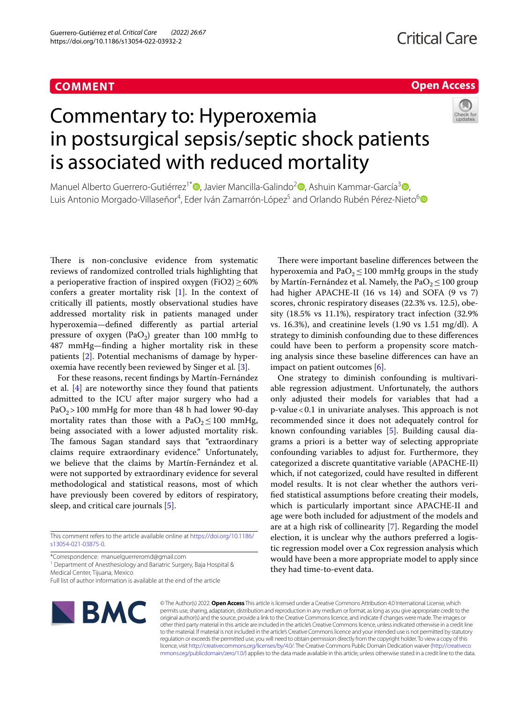# **COMMENT**

## **Open Access**

# Commentary to: Hyperoxemia in postsurgical sepsis/septic shock patients is associated with reduced mortality

Manuel Alberto Guerrero-Gutiérrez<sup>1[\\*](https://orcid.org/0000-0002-0645-1836)</sup> , Javier Mancilla-Galindo<sup>[2](https://orcid.org/0000-0002-0718-467X)</sup> [,](https://orcid.org/0000-0002-3875-0945) Ashuin Kammar-García<sup>3</sup> , Luis Antonio Morgado-Villaseñor<sup>4</sup>, Eder Iván Zamarrón-López<sup>5</sup> and Orlando Rubén Pérez-Nieto<sup>[6](https://orcid.org/0000-0001-8817-7000)</sup>

There is non-conclusive evidence from systematic reviews of randomized controlled trials highlighting that a perioperative fraction of inspired oxygen (FiO2) $\geq$  60% confers a greater mortality risk [\[1](#page-1-0)]. In the context of critically ill patients, mostly observational studies have addressed mortality risk in patients managed under hyperoxemia—defned diferently as partial arterial pressure of oxygen (PaO<sub>2</sub>) greater than 100 mmHg to 487 mmHg—fnding a higher mortality risk in these patients [[2\]](#page-1-1). Potential mechanisms of damage by hyperoxemia have recently been reviewed by Singer et al. [[3\]](#page-1-2).

For these reasons, recent fndings by Martín-Fernández et al. [\[4](#page-1-3)] are noteworthy since they found that patients admitted to the ICU after major surgery who had a  $PaO<sub>2</sub> > 100$  mmHg for more than 48 h had lower 90-day mortality rates than those with a PaO<sub>2</sub> ≤ 100 mmHg, being associated with a lower adjusted mortality risk. The famous Sagan standard says that "extraordinary" claims require extraordinary evidence." Unfortunately, we believe that the claims by Martín-Fernández et al. were not supported by extraordinary evidence for several methodological and statistical reasons, most of which have previously been covered by editors of respiratory, sleep, and critical care journals [\[5](#page-1-4)].

This comment refers to the article available online at [https://doi.org/10.1186/](https://doi.org/10.1186/s13054-021-03875-0) [s13054-021-03875-0](https://doi.org/10.1186/s13054-021-03875-0).

\*Correspondence: manuelguerreromd@gmail.com

<sup>1</sup> Department of Anesthesiology and Bariatric Surgery, Baja Hospital & Medical Center, Tijuana, Mexico

Full list of author information is available at the end of the article



There were important baseline differences between the hyperoxemia and Pa $O<sub>2</sub>$  ≤ 100 mmHg groups in the study by Martín-Fernández et al. Namely, the Pa $O<sub>2</sub>$   $\leq$  100 group had higher APACHE-II (16 vs 14) and SOFA (9 vs 7) scores, chronic respiratory diseases (22.3% vs. 12.5), obesity (18.5% vs 11.1%), respiratory tract infection (32.9% vs. 16.3%), and creatinine levels (1.90 vs 1.51 mg/dl). A strategy to diminish confounding due to these diferences could have been to perform a propensity score matching analysis since these baseline diferences can have an impact on patient outcomes [\[6](#page-1-5)].

One strategy to diminish confounding is multivariable regression adjustment. Unfortunately, the authors only adjusted their models for variables that had a  $p$ -value <  $0.1$  in univariate analyses. This approach is not recommended since it does not adequately control for known confounding variables [\[5](#page-1-4)]. Building causal diagrams a priori is a better way of selecting appropriate confounding variables to adjust for. Furthermore, they categorized a discrete quantitative variable (APACHE-II) which, if not categorized, could have resulted in diferent model results. It is not clear whether the authors verifed statistical assumptions before creating their models, which is particularly important since APACHE-II and age were both included for adjustment of the models and are at a high risk of collinearity [[7](#page-1-6)]. Regarding the model election, it is unclear why the authors preferred a logistic regression model over a Cox regression analysis which would have been a more appropriate model to apply since they had time-to-event data.

© The Author(s) 2022. **Open Access** This article is licensed under a Creative Commons Attribution 4.0 International License, which permits use, sharing, adaptation, distribution and reproduction in any medium or format, as long as you give appropriate credit to the original author(s) and the source, provide a link to the Creative Commons licence, and indicate if changes were made. The images or other third party material in this article are included in the article's Creative Commons licence, unless indicated otherwise in a credit line to the material. If material is not included in the article's Creative Commons licence and your intended use is not permitted by statutory regulation or exceeds the permitted use, you will need to obtain permission directly from the copyright holder. To view a copy of this licence, visit [http://creativecommons.org/licenses/by/4.0/.](http://creativecommons.org/licenses/by/4.0/) The Creative Commons Public Domain Dedication waiver ([http://creativeco](http://creativecommons.org/publicdomain/zero/1.0/) [mmons.org/publicdomain/zero/1.0/](http://creativecommons.org/publicdomain/zero/1.0/)) applies to the data made available in this article, unless otherwise stated in a credit line to the data.